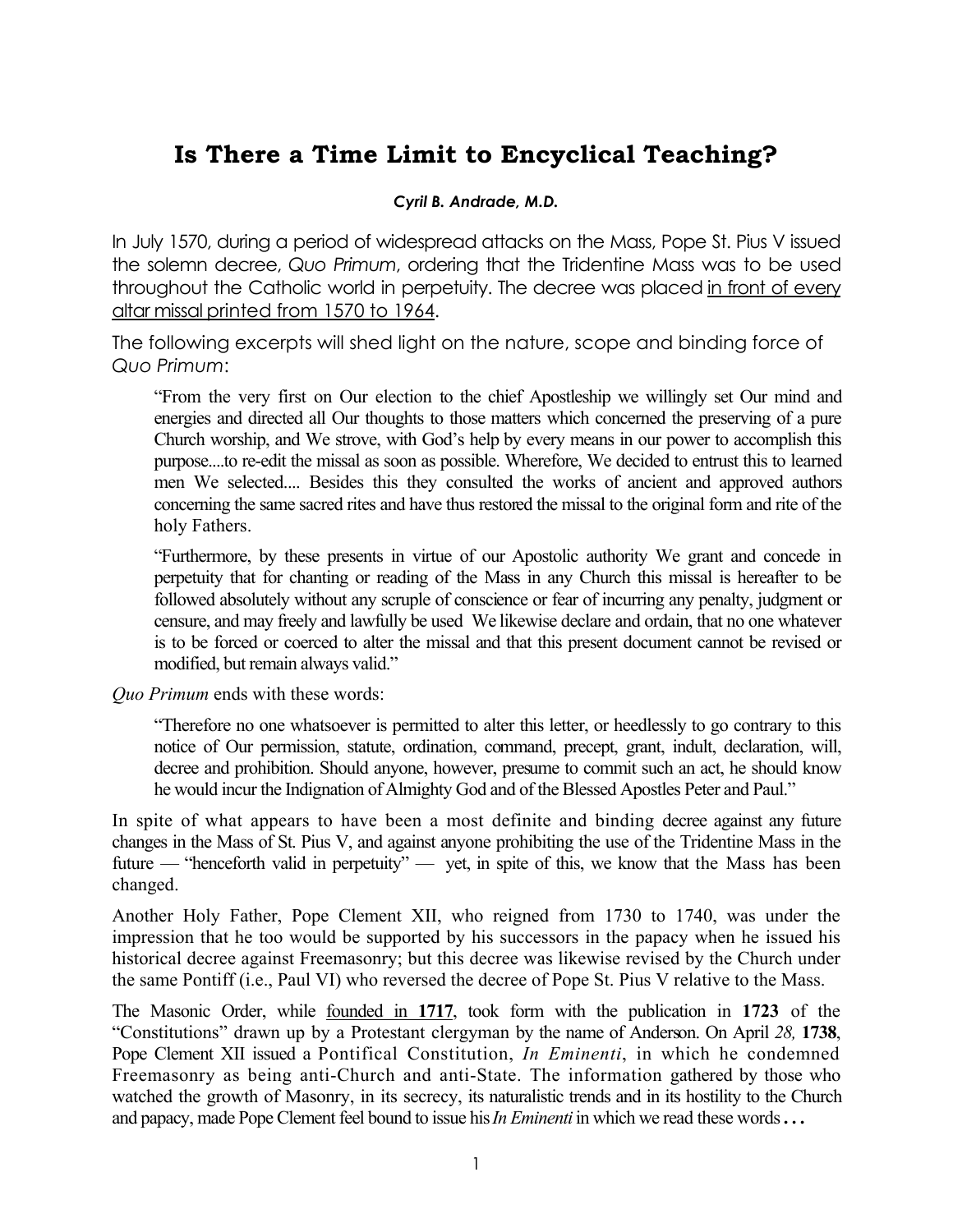## **Is There a Time Limit to Encyclical Teaching?**

## *Cyril B. Andrade, M.D.*

In July 1570, during a period of widespread attacks on the Mass, Pope St. Pius V issued the solemn decree, *Quo Primum*, ordering that the Tridentine Mass was to be used throughout the Catholic world in perpetuity. The decree was placed in front of every altar missal printed from 1570 to 1964.

The following excerpts will shed light on the nature, scope and binding force of *Quo Primum*:

"From the very first on Our election to the chief Apostleship we willingly set Our mind and energies and directed all Our thoughts to those matters which concerned the preserving of a pure Church worship, and We strove, with God's help by every means in our power to accomplish this purpose....to re-edit the missal as soon as possible. Wherefore, We decided to entrust this to learned men We selected.... Besides this they consulted the works of ancient and approved authors concerning the same sacred rites and have thus restored the missal to the original form and rite of the holy Fathers.

"Furthermore, by these presents in virtue of our Apostolic authority We grant and concede in perpetuity that for chanting or reading of the Mass in any Church this missal is hereafter to be followed absolutely without any scruple of conscience or fear of incurring any penalty, judgment or censure, and may freely and lawfully be used We likewise declare and ordain, that no one whatever is to be forced or coerced to alter the missal and that this present document cannot be revised or modified, but remain always valid."

*Quo Primum* ends with these words:

"Therefore no one whatsoever is permitted to alter this letter, or heedlessly to go contrary to this notice of Our permission, statute, ordination, command, precept, grant, indult, declaration, will, decree and prohibition. Should anyone, however, presume to commit such an act, he should know he would incur the Indignation of Almighty God and of the Blessed Apostles Peter and Paul."

In spite of what appears to have been a most definite and binding decree against any future changes in the Mass of St. Pius V, and against anyone prohibiting the use of the Tridentine Mass in the future — "henceforth valid in perpetuity" — yet, in spite of this, we know that the Mass has been changed.

Another Holy Father, Pope Clement XII, who reigned from 1730 to 1740, was under the impression that he too would be supported by his successors in the papacy when he issued his historical decree against Freemasonry; but this decree was likewise revised by the Church under the same Pontiff (i.e., Paul VI) who reversed the decree of Pope St. Pius V relative to the Mass.

The Masonic Order, while founded in **1717**, took form with the publication in **1723** of the "Constitutions" drawn up by a Protestant clergyman by the name of Anderson. On April *28,* **1738**, Pope Clement XII issued a Pontifical Constitution, *In Eminenti*, in which he condemned Freemasonry as being anti-Church and anti-State. The information gathered by those who watched the growth of Masonry, in its secrecy, its naturalistic trends and in its hostility to the Church and papacy, made Pope Clement feel bound to issue his *In Eminenti* in which we read these words **. . .**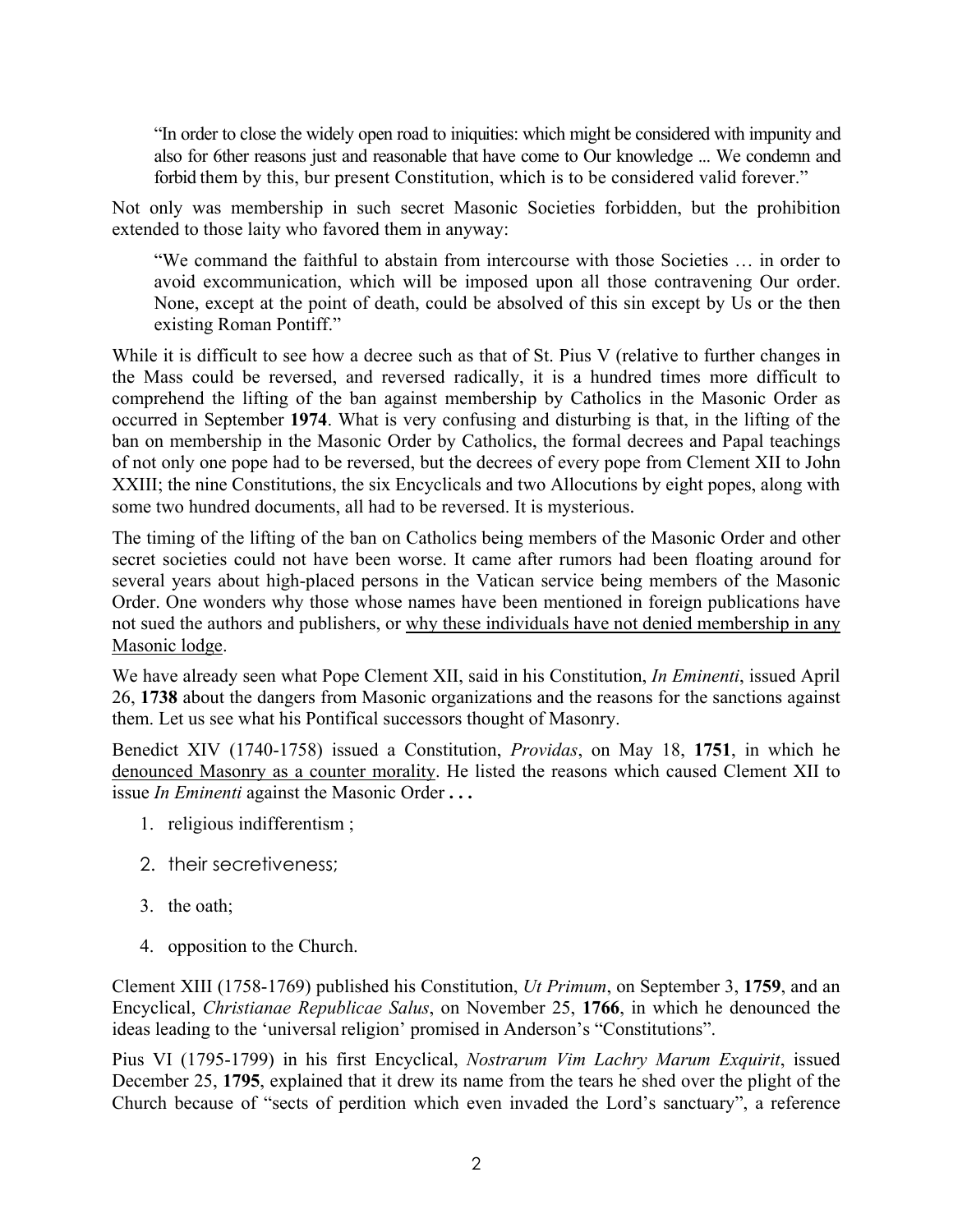"In order to close the widely open road to iniquities: which might be considered with impunity and also for 6ther reasons just and reasonable that have come to Our knowledge ... We condemn and forbid them by this, bur present Constitution, which is to be considered valid forever."

Not only was membership in such secret Masonic Societies forbidden, but the prohibition extended to those laity who favored them in anyway:

"We command the faithful to abstain from intercourse with those Societies … in order to avoid excommunication, which will be imposed upon all those contravening Our order. None, except at the point of death, could be absolved of this sin except by Us or the then existing Roman Pontiff."

While it is difficult to see how a decree such as that of St. Pius V (relative to further changes in the Mass could be reversed, and reversed radically, it is a hundred times more difficult to comprehend the lifting of the ban against membership by Catholics in the Masonic Order as occurred in September **1974**. What is very confusing and disturbing is that, in the lifting of the ban on membership in the Masonic Order by Catholics, the formal decrees and Papal teachings of not only one pope had to be reversed, but the decrees of every pope from Clement XII to John XXIII; the nine Constitutions, the six Encyclicals and two Allocutions by eight popes, along with some two hundred documents, all had to be reversed. It is mysterious.

The timing of the lifting of the ban on Catholics being members of the Masonic Order and other secret societies could not have been worse. It came after rumors had been floating around for several years about high-placed persons in the Vatican service being members of the Masonic Order. One wonders why those whose names have been mentioned in foreign publications have not sued the authors and publishers, or why these individuals have not denied membership in any Masonic lodge.

We have already seen what Pope Clement XII, said in his Constitution, *In Eminenti*, issued April 26, **1738** about the dangers from Masonic organizations and the reasons for the sanctions against them. Let us see what his Pontifical successors thought of Masonry.

Benedict XIV (1740-1758) issued a Constitution, *Providas*, on May 18, **1751**, in which he denounced Masonry as a counter morality. He listed the reasons which caused Clement XII to issue *In Eminenti* against the Masonic Order **. . .** 

- 1. religious indifferentism ;
- 2. their secretiveness;
- 3. the oath;
- 4. opposition to the Church.

Clement XIII (1758-1769) published his Constitution, *Ut Primum*, on September 3, **1759**, and an Encyclical, *Christianae Republicae Salus*, on November 25, **1766**, in which he denounced the ideas leading to the 'universal religion' promised in Anderson's "Constitutions".

Pius VI (1795-1799) in his first Encyclical, *Nostrarum Vim Lachry Marum Exquirit*, issued December 25, **1795**, explained that it drew its name from the tears he shed over the plight of the Church because of "sects of perdition which even invaded the Lord's sanctuary", a reference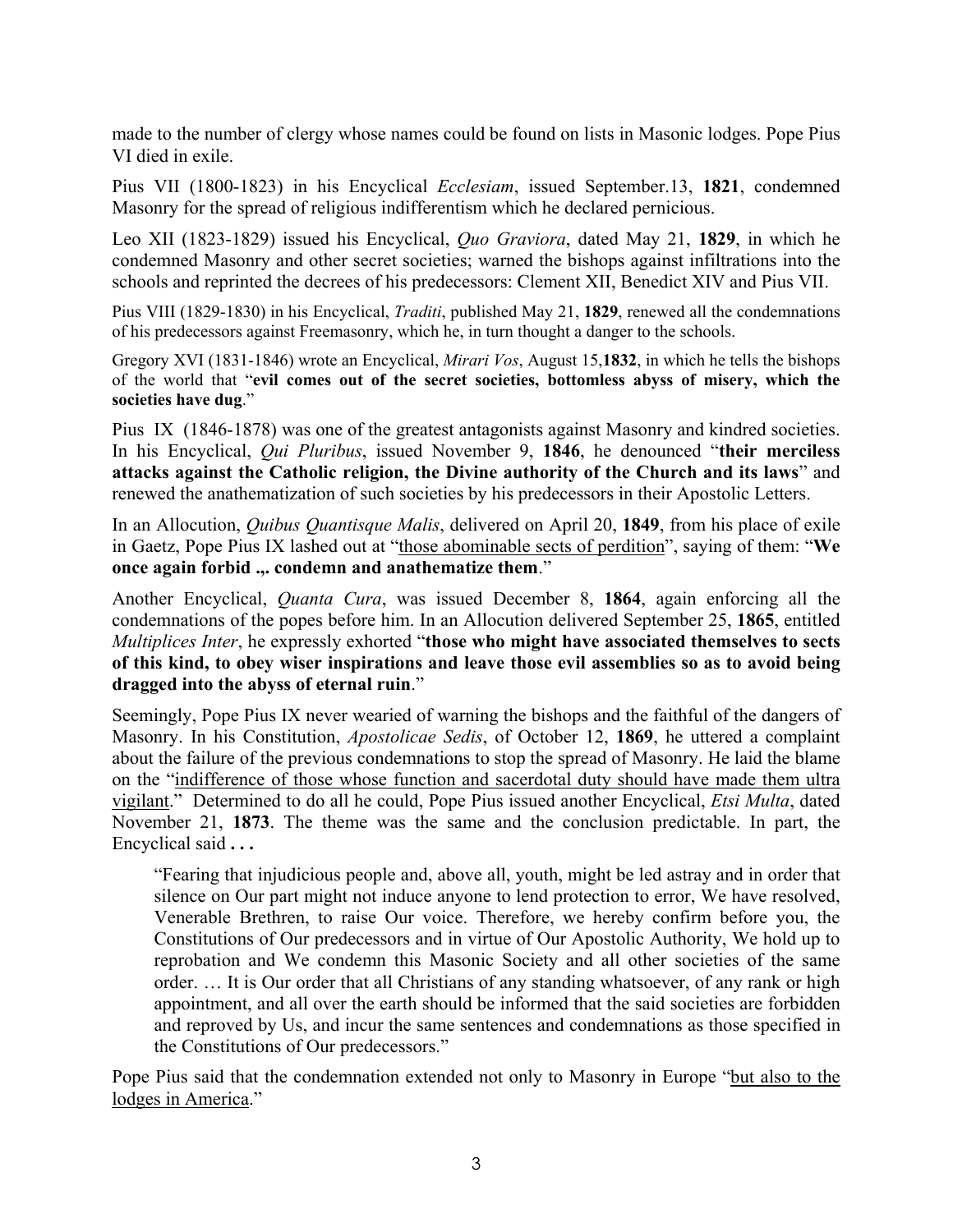made to the number of clergy whose names could be found on lists in Masonic lodges. Pope Pius VI died in exile.

Pius VII (1800-1823) in his Encyclical *Ecclesiam*, issued September.13, **1821**, condemned Masonry for the spread of religious indifferentism which he declared pernicious.

Leo XII (1823-1829) issued his Encyclical, *Quo Graviora*, dated May 21, **1829**, in which he condemned Masonry and other secret societies; warned the bishops against infiltrations into the schools and reprinted the decrees of his predecessors: Clement XII, Benedict XIV and Pius VII.

Pius VIII (1829-1830) in his Encyclical, *Traditi*, published May 21, **1829**, renewed all the condemnations of his predecessors against Freemasonry, which he, in turn thought a danger to the schools.

Gregory XVI (1831-1846) wrote an Encyclical, *Mirari Vos*, August 15,**1832**, in which he tells the bishops of the world that "**evil comes out of the secret societies, bottomless abyss of misery, which the societies have dug**."

Pius IX (1846-1878) was one of the greatest antagonists against Masonry and kindred societies. In his Encyclical, *Qui Pluribus*, issued November 9, **1846**, he denounced "**their merciless attacks against the Catholic religion, the Divine authority of the Church and its laws**" and renewed the anathematization of such societies by his predecessors in their Apostolic Letters.

In an Allocution, *Quibus Quantisque Malis*, delivered on April 20, **1849**, from his place of exile in Gaetz, Pope Pius IX lashed out at "those abominable sects of perdition", saying of them: "**We once again forbid .,. condemn and anathematize them**."

Another Encyclical, *Quanta Cura*, was issued December 8, **1864**, again enforcing all the condemnations of the popes before him. In an Allocution delivered September 25, **1865**, entitled *Multiplices Inter*, he expressly exhorted "**those who might have associated themselves to sects of this kind, to obey wiser inspirations and leave those evil assemblies so as to avoid being dragged into the abyss of eternal ruin**."

Seemingly, Pope Pius IX never wearied of warning the bishops and the faithful of the dangers of Masonry. In his Constitution, *Apostolicae Sedis*, of October 12, **1869**, he uttered a complaint about the failure of the previous condemnations to stop the spread of Masonry. He laid the blame on the "indifference of those whose function and sacerdotal duty should have made them ultra vigilant." Determined to do all he could, Pope Pius issued another Encyclical, *Etsi Multa*, dated November 21, **1873**. The theme was the same and the conclusion predictable. In part, the Encyclical said **. . .**

"Fearing that injudicious people and, above all, youth, might be led astray and in order that silence on Our part might not induce anyone to lend protection to error, We have resolved, Venerable Brethren, to raise Our voice. Therefore, we hereby confirm before you, the Constitutions of Our predecessors and in virtue of Our Apostolic Authority, We hold up to reprobation and We condemn this Masonic Society and all other societies of the same order. … It is Our order that all Christians of any standing whatsoever, of any rank or high appointment, and all over the earth should be informed that the said societies are forbidden and reproved by Us, and incur the same sentences and condemnations as those specified in the Constitutions of Our predecessors."

Pope Pius said that the condemnation extended not only to Masonry in Europe "but also to the lodges in America."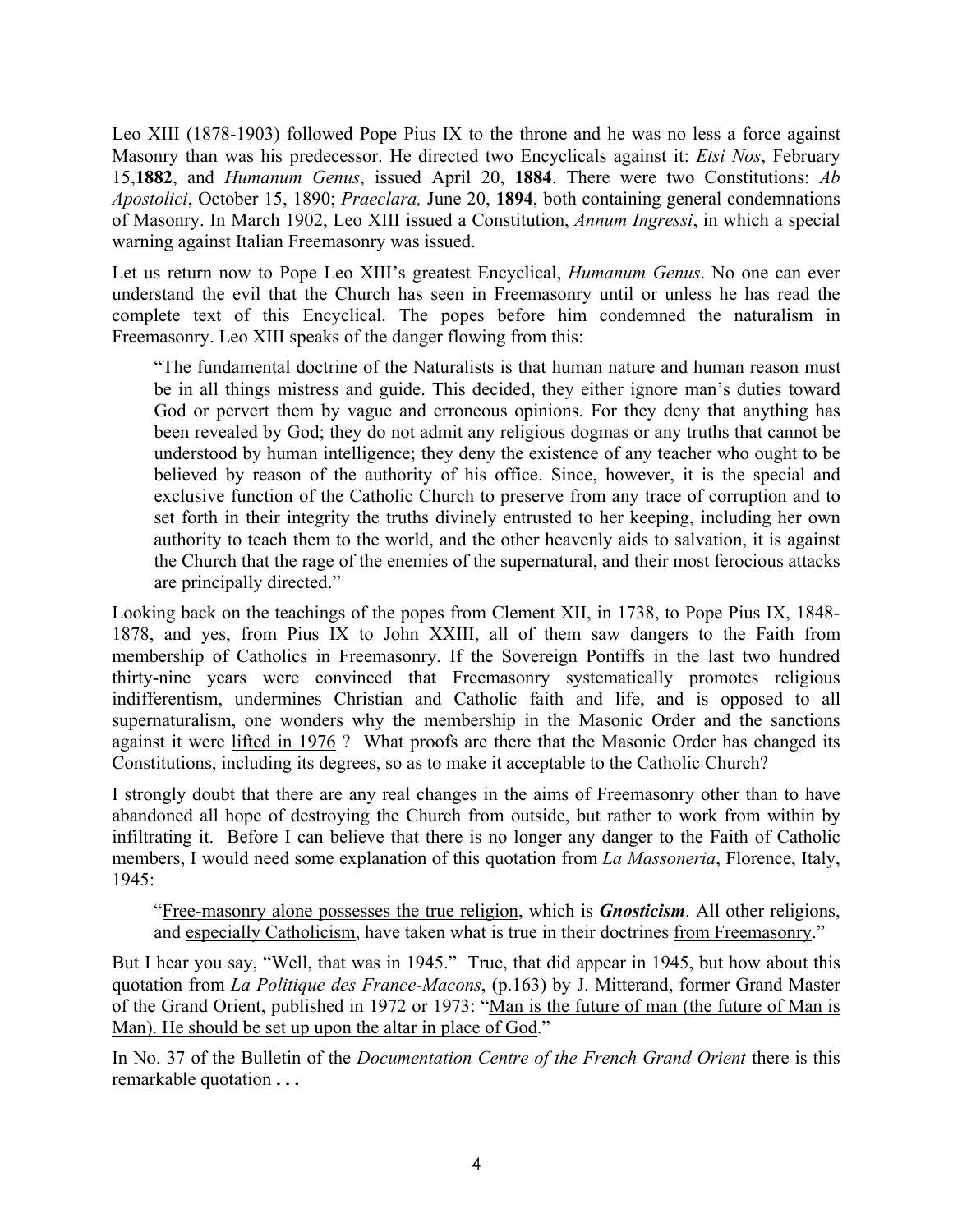Leo XIII (1878-1903) followed Pope Pius IX to the throne and he was no less a force against Masonry than was his predecessor. He directed two Encyclicals against it: *Etsi Nos*, February 15,**1882**, and *Humanum Genus*, issued April 20, **1884**. There were two Constitutions: *Ab Apostolici*, October 15, 1890; *Praeclara,* June 20, **1894**, both containing general condemnations of Masonry. In March 1902, Leo XIII issued a Constitution, *Annum Ingressi*, in which a special warning against Italian Freemasonry was issued.

Let us return now to Pope Leo XIII's greatest Encyclical, *Humanum Genus*. No one can ever understand the evil that the Church has seen in Freemasonry until or unless he has read the complete text of this Encyclical. The popes before him condemned the naturalism in Freemasonry. Leo XIII speaks of the danger flowing from this:

"The fundamental doctrine of the Naturalists is that human nature and human reason must be in all things mistress and guide. This decided, they either ignore man's duties toward God or pervert them by vague and erroneous opinions. For they deny that anything has been revealed by God; they do not admit any religious dogmas or any truths that cannot be understood by human intelligence; they deny the existence of any teacher who ought to be believed by reason of the authority of his office. Since, however, it is the special and exclusive function of the Catholic Church to preserve from any trace of corruption and to set forth in their integrity the truths divinely entrusted to her keeping, including her own authority to teach them to the world, and the other heavenly aids to salvation, it is against the Church that the rage of the enemies of the supernatural, and their most ferocious attacks are principally directed."

Looking back on the teachings of the popes from Clement XII, in 1738, to Pope Pius IX, 1848- 1878, and yes, from Pius IX to John XXIII, all of them saw dangers to the Faith from membership of Catholics in Freemasonry. If the Sovereign Pontiffs in the last two hundred thirty-nine years were convinced that Freemasonry systematically promotes religious indifferentism, undermines Christian and Catholic faith and life, and is opposed to all supernaturalism, one wonders why the membership in the Masonic Order and the sanctions against it were lifted in 1976 ? What proofs are there that the Masonic Order has changed its Constitutions, including its degrees, so as to make it acceptable to the Catholic Church?

I strongly doubt that there are any real changes in the aims of Freemasonry other than to have abandoned all hope of destroying the Church from outside, but rather to work from within by infiltrating it. Before I can believe that there is no longer any danger to the Faith of Catholic members, I would need some explanation of this quotation from *La Massoneria*, Florence, Italy, 1945:

"Free-masonry alone possesses the true religion, which is *Gnosticism*. All other religions, and especially Catholicism, have taken what is true in their doctrines from Freemasonry."

But I hear you say, "Well, that was in 1945." True, that did appear in 1945, but how about this quotation from *La Politique des France-Macons*, (p.163) by J. Mitterand, former Grand Master of the Grand Orient, published in 1972 or 1973: "Man is the future of man (the future of Man is Man). He should be set up upon the altar in place of God."

In No. 37 of the Bulletin of the *Documentation Centre of the French Grand Orient* there is this remarkable quotation **. . .**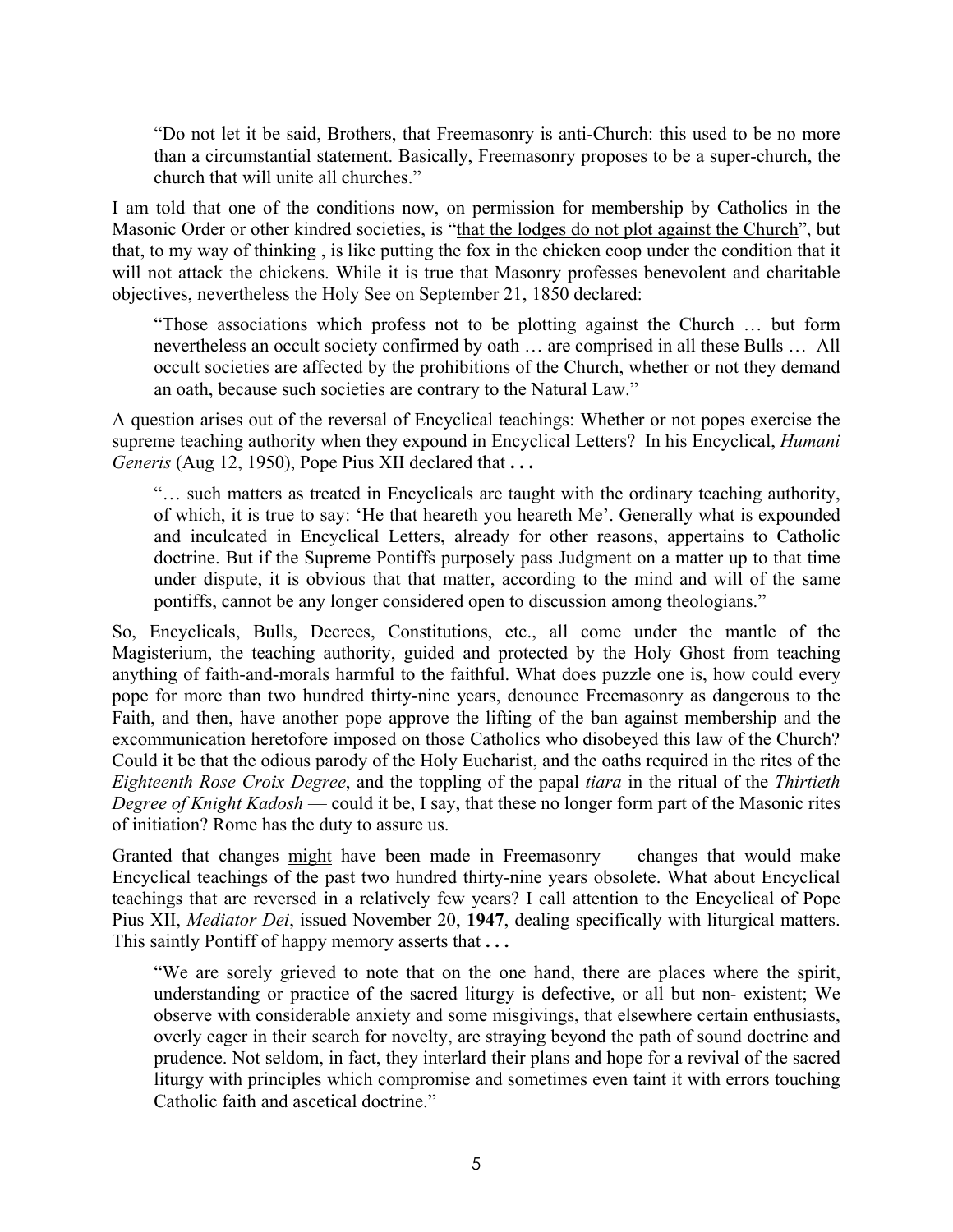"Do not let it be said, Brothers, that Freemasonry is anti-Church: this used to be no more than a circumstantial statement. Basically, Freemasonry proposes to be a super-church, the church that will unite all churches."

I am told that one of the conditions now, on permission for membership by Catholics in the Masonic Order or other kindred societies, is "that the lodges do not plot against the Church", but that, to my way of thinking , is like putting the fox in the chicken coop under the condition that it will not attack the chickens. While it is true that Masonry professes benevolent and charitable objectives, nevertheless the Holy See on September 21, 1850 declared:

"Those associations which profess not to be plotting against the Church … but form nevertheless an occult society confirmed by oath … are comprised in all these Bulls … All occult societies are affected by the prohibitions of the Church, whether or not they demand an oath, because such societies are contrary to the Natural Law."

A question arises out of the reversal of Encyclical teachings: Whether or not popes exercise the supreme teaching authority when they expound in Encyclical Letters? In his Encyclical, *Humani Generis* (Aug 12, 1950), Pope Pius XII declared that **. . .**

"… such matters as treated in Encyclicals are taught with the ordinary teaching authority, of which, it is true to say: 'He that heareth you heareth Me'. Generally what is expounded and inculcated in Encyclical Letters, already for other reasons, appertains to Catholic doctrine. But if the Supreme Pontiffs purposely pass Judgment on a matter up to that time under dispute, it is obvious that that matter, according to the mind and will of the same pontiffs, cannot be any longer considered open to discussion among theologians."

So, Encyclicals, Bulls, Decrees, Constitutions, etc., all come under the mantle of the Magisterium, the teaching authority, guided and protected by the Holy Ghost from teaching anything of faith-and-morals harmful to the faithful. What does puzzle one is, how could every pope for more than two hundred thirty-nine years, denounce Freemasonry as dangerous to the Faith, and then, have another pope approve the lifting of the ban against membership and the excommunication heretofore imposed on those Catholics who disobeyed this law of the Church? Could it be that the odious parody of the Holy Eucharist, and the oaths required in the rites of the *Eighteenth Rose Croix Degree*, and the toppling of the papal *tiara* in the ritual of the *Thirtieth Degree of Knight Kadosh* — could it be, I say, that these no longer form part of the Masonic rites of initiation? Rome has the duty to assure us.

Granted that changes might have been made in Freemasonry — changes that would make Encyclical teachings of the past two hundred thirty-nine years obsolete. What about Encyclical teachings that are reversed in a relatively few years? I call attention to the Encyclical of Pope Pius XII, *Mediator Dei*, issued November 20, **1947**, dealing specifically with liturgical matters. This saintly Pontiff of happy memory asserts that **. . .**

"We are sorely grieved to note that on the one hand, there are places where the spirit, understanding or practice of the sacred liturgy is defective, or all but non- existent; We observe with considerable anxiety and some misgivings, that elsewhere certain enthusiasts, overly eager in their search for novelty, are straying beyond the path of sound doctrine and prudence. Not seldom, in fact, they interlard their plans and hope for a revival of the sacred liturgy with principles which compromise and sometimes even taint it with errors touching Catholic faith and ascetical doctrine."